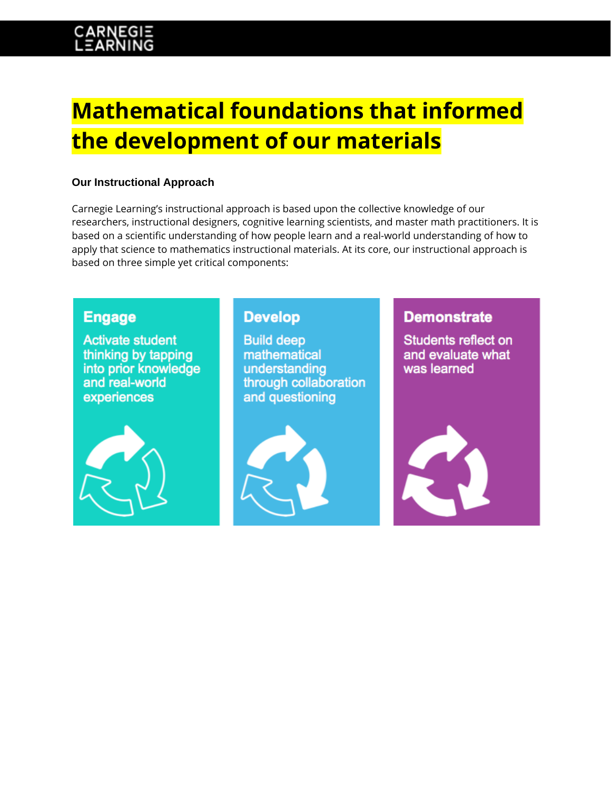# **Mathematical foundations that informed the development of our materials**

### **Our Instructional Approach**

Carnegie Learning's instructional approach is based upon the collective knowledge of our researchers, instructional designers, cognitive learning scientists, and master math practitioners. It is based on a scientific understanding of how people learn and a real-world understanding of how to apply that science to mathematics instructional materials. At its core, our instructional approach is based on three simple yet critical components:

## **Engage**

**Activate student** thinking by tapping into prior knowledge and real-world experiences



## **Develop**

**Build deep** mathematical understanding through collaboration and questioning



## **Demonstrate**

Students reflect on and evaluate what was learned

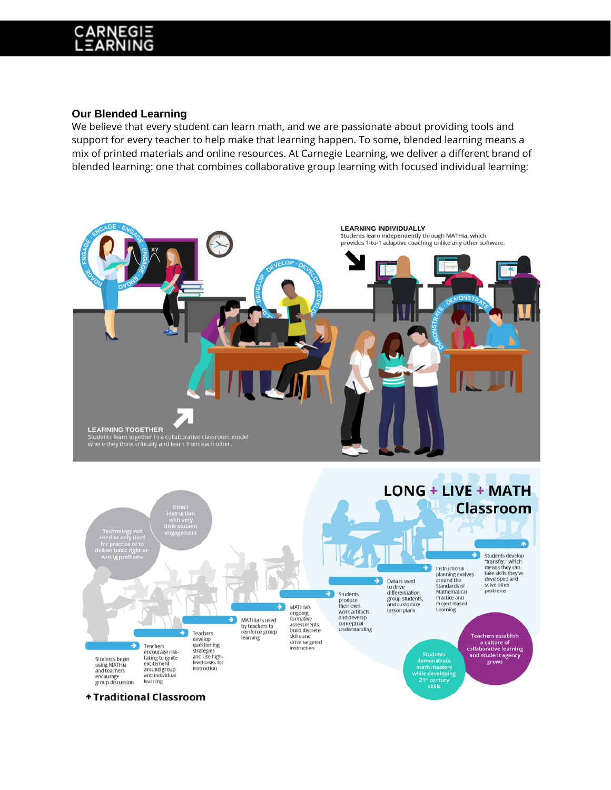#### **Our Blended Learning**

We believe that every student can learn math, and we are passionate about providing tools and support for every teacher to help make that learning happen. To some, blended learning means a mix of printed materials and online resources. At Carnegie Learning, we deliver a different brand of blended learning: one that combines collaborative group learning with focused individual learning:

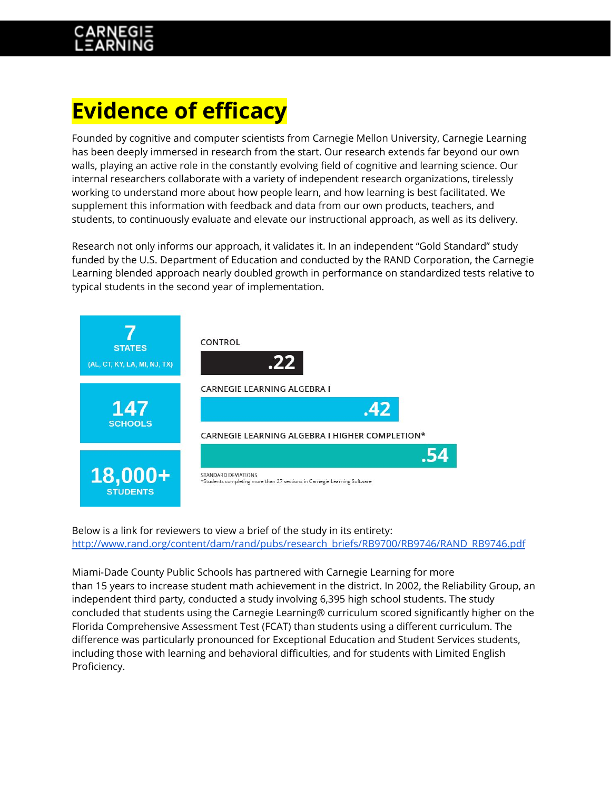# **Evidence of efficacy**

Founded by cognitive and computer scientists from Carnegie Mellon University, Carnegie Learning has been deeply immersed in research from the start. Our research extends far beyond our own walls, playing an active role in the constantly evolving field of cognitive and learning science. Our internal researchers collaborate with a variety of independent research organizations, tirelessly working to understand more about how people learn, and how learning is best facilitated. We supplement this information with feedback and data from our own products, teachers, and students, to continuously evaluate and elevate our instructional approach, as well as its delivery.

Research not only informs our approach, it validates it. In an independent "Gold Standard" study funded by the U.S. Department of Education and conducted by the RAND Corporation, the Carnegie Learning blended approach nearly doubled growth in performance on standardized tests relative to typical students in the second year of implementation.



Below is a link for reviewers to view a brief of the study in its entirety: [http://www.rand.org/content/dam/rand/pubs/research\\_briefs/RB9700/RB9746/RAND\\_RB9746.pdf](http://www.rand.org/content/dam/rand/pubs/research_briefs/RB9700/RB9746/RAND_RB9746.pdf)

Miami-Dade County Public Schools has partnered with Carnegie Learning for more than 15 years to increase student math achievement in the district. In 2002, the Reliability Group, an independent third party, conducted a study involving 6,395 high school students. The study concluded that students using the Carnegie Learning® curriculum scored significantly higher on the Florida Comprehensive Assessment Test (FCAT) than students using a different curriculum. The difference was particularly pronounced for Exceptional Education and Student Services students, including those with learning and behavioral difficulties, and for students with Limited English Proficiency.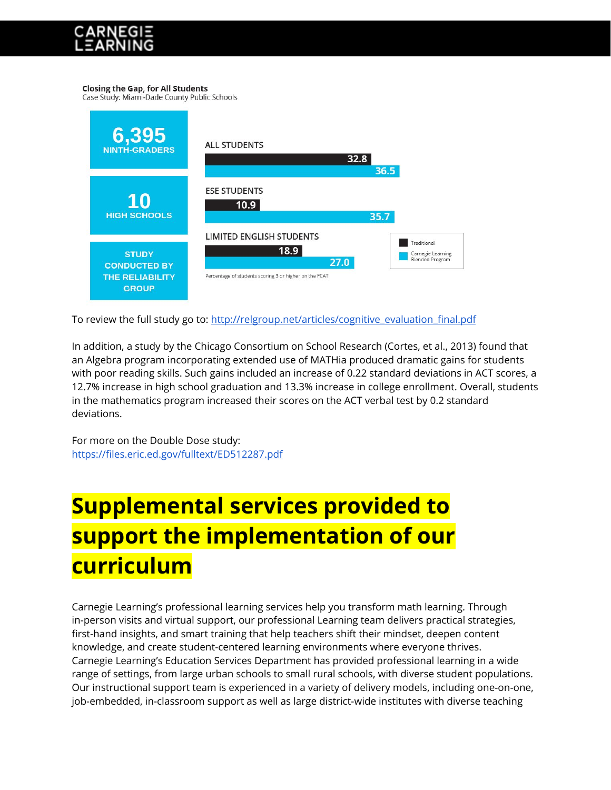#### **Closing the Gap, for All Students**

Case Study: Miami-Dade County Public Schools



To review the full study go to: [http://relgroup.net/articles/cognitive\\_evaluation\\_final.pdf](http://relgroup.net/articles/cognitive_evaluation_final.pdf)

In addition, a study by the Chicago Consortium on School Research (Cortes, et al., 2013) found that an Algebra program incorporating extended use of MATHia produced dramatic gains for students with poor reading skills. Such gains included an increase of 0.22 standard deviations in ACT scores, a 12.7% increase in high school graduation and 13.3% increase in college enrollment. Overall, students in the mathematics program increased their scores on the ACT verbal test by 0.2 standard deviations.

For more on the Double Dose study: <https://files.eric.ed.gov/fulltext/ED512287.pdf>

# **Supplemental services provided to support the implementation of our curriculum**

Carnegie Learning's professional learning services help you transform math learning. Through in-person visits and virtual support, our professional Learning team delivers practical strategies, first-hand insights, and smart training that help teachers shift their mindset, deepen content knowledge, and create student-centered learning environments where everyone thrives. Carnegie Learning's Education Services Department has provided professional learning in a wide range of settings, from large urban schools to small rural schools, with diverse student populations. Our instructional support team is experienced in a variety of delivery models, including one-on-one, job-embedded, in-classroom support as well as large district-wide institutes with diverse teaching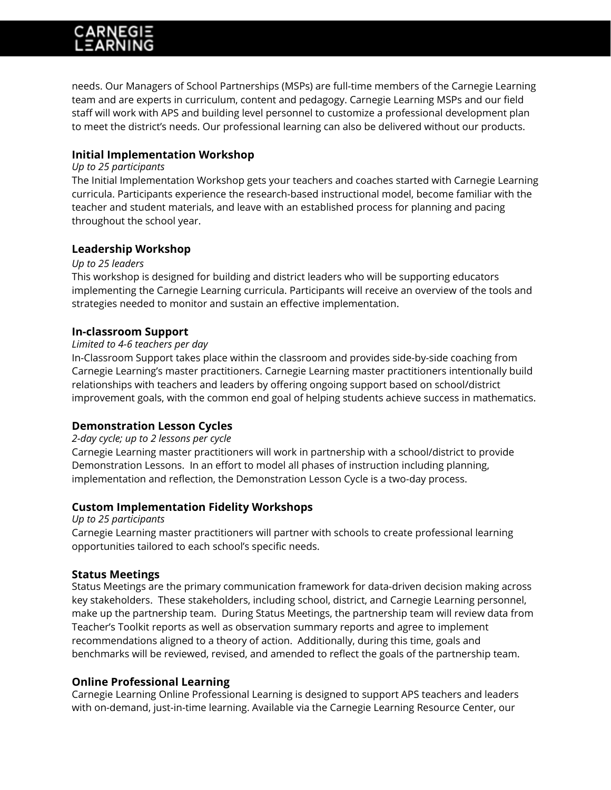needs. Our Managers of School Partnerships (MSPs) are full-time members of the Carnegie Learning team and are experts in curriculum, content and pedagogy. Carnegie Learning MSPs and our field staff will work with APS and building level personnel to customize a professional development plan to meet the district's needs. Our professional learning can also be delivered without our products.

### **Initial Implementation Workshop**

#### *Up to 25 participants*

The Initial Implementation Workshop gets your teachers and coaches started with Carnegie Learning curricula. Participants experience the research-based instructional model, become familiar with the teacher and student materials, and leave with an established process for planning and pacing throughout the school year.

### **Leadership Workshop**

#### *Up to 25 leaders*

This workshop is designed for building and district leaders who will be supporting educators implementing the Carnegie Learning curricula. Participants will receive an overview of the tools and strategies needed to monitor and sustain an effective implementation.

#### **In-classroom Support**

#### *Limited to 4-6 teachers per day*

In-Classroom Support takes place within the classroom and provides side-by-side coaching from Carnegie Learning's master practitioners. Carnegie Learning master practitioners intentionally build relationships with teachers and leaders by offering ongoing support based on school/district improvement goals, with the common end goal of helping students achieve success in mathematics.

### **Demonstration Lesson Cycles**

#### *2-day cycle; up to 2 lessons per cycle*

Carnegie Learning master practitioners will work in partnership with a school/district to provide Demonstration Lessons. In an effort to model all phases of instruction including planning, implementation and reflection, the Demonstration Lesson Cycle is a two-day process.

### **Custom Implementation Fidelity Workshops**

*Up to 25 participants*

Carnegie Learning master practitioners will partner with schools to create professional learning opportunities tailored to each school's specific needs.

### **Status Meetings**

Status Meetings are the primary communication framework for data-driven decision making across key stakeholders. These stakeholders, including school, district, and Carnegie Learning personnel, make up the partnership team. During Status Meetings, the partnership team will review data from Teacher's Toolkit reports as well as observation summary reports and agree to implement recommendations aligned to a theory of action. Additionally, during this time, goals and benchmarks will be reviewed, revised, and amended to reflect the goals of the partnership team.

### **Online Professional Learning**

Carnegie Learning Online Professional Learning is designed to support APS teachers and leaders with on-demand, just-in-time learning. Available via the Carnegie Learning Resource Center, our